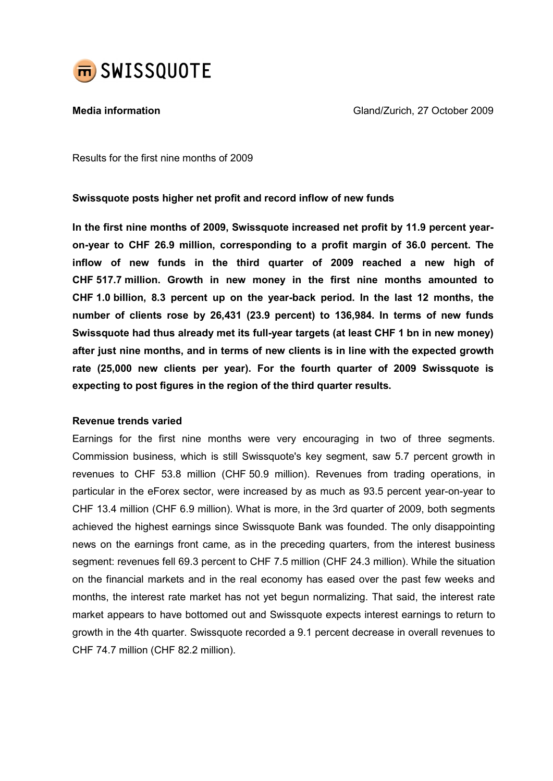

Media information Gland/Zurich, 27 October 2009

Results for the first nine months of 2009

## Swissquote posts higher net profit and record inflow of new funds

In the first nine months of 2009, Swissquote increased net profit by 11.9 percent yearon-year to CHF 26.9 million, corresponding to a profit margin of 36.0 percent. The inflow of new funds in the third quarter of 2009 reached a new high of CHF 517.7 million. Growth in new money in the first nine months amounted to CHF 1.0 billion, 8.3 percent up on the year-back period. In the last 12 months, the number of clients rose by 26,431 (23.9 percent) to 136,984. In terms of new funds Swissquote had thus already met its full-year targets (at least CHF 1 bn in new money) after just nine months, and in terms of new clients is in line with the expected growth rate (25,000 new clients per year). For the fourth quarter of 2009 Swissquote is expecting to post figures in the region of the third quarter results.

## Revenue trends varied

Earnings for the first nine months were very encouraging in two of three segments. Commission business, which is still Swissquote's key segment, saw 5.7 percent growth in revenues to CHF 53.8 million (CHF 50.9 million). Revenues from trading operations, in particular in the eForex sector, were increased by as much as 93.5 percent year-on-year to CHF 13.4 million (CHF 6.9 million). What is more, in the 3rd quarter of 2009, both segments achieved the highest earnings since Swissquote Bank was founded. The only disappointing news on the earnings front came, as in the preceding quarters, from the interest business segment: revenues fell 69.3 percent to CHF 7.5 million (CHF 24.3 million). While the situation on the financial markets and in the real economy has eased over the past few weeks and months, the interest rate market has not yet begun normalizing. That said, the interest rate market appears to have bottomed out and Swissquote expects interest earnings to return to growth in the 4th quarter. Swissquote recorded a 9.1 percent decrease in overall revenues to CHF 74.7 million (CHF 82.2 million).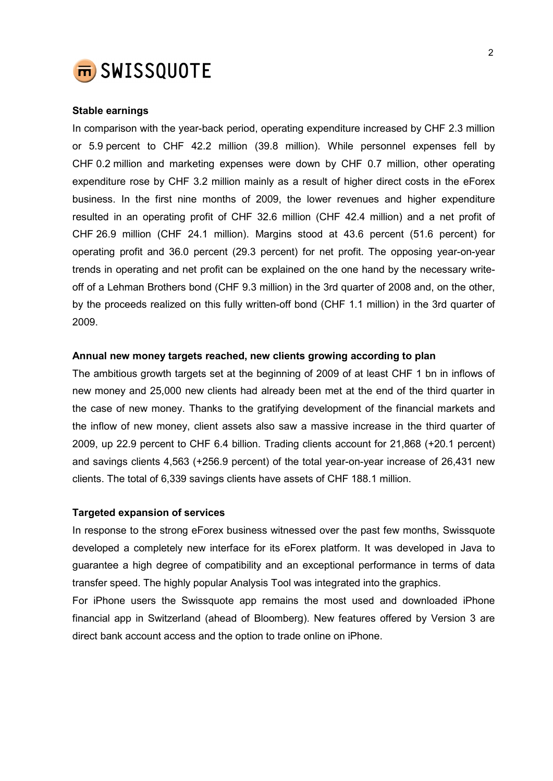

## Stable earnings

In comparison with the year-back period, operating expenditure increased by CHF 2.3 million or 5.9 percent to CHF 42.2 million (39.8 million). While personnel expenses fell by CHF 0.2 million and marketing expenses were down by CHF 0.7 million, other operating expenditure rose by CHF 3.2 million mainly as a result of higher direct costs in the eForex business. In the first nine months of 2009, the lower revenues and higher expenditure resulted in an operating profit of CHF 32.6 million (CHF 42.4 million) and a net profit of CHF 26.9 million (CHF 24.1 million). Margins stood at 43.6 percent (51.6 percent) for operating profit and 36.0 percent (29.3 percent) for net profit. The opposing year-on-year trends in operating and net profit can be explained on the one hand by the necessary writeoff of a Lehman Brothers bond (CHF 9.3 million) in the 3rd quarter of 2008 and, on the other, by the proceeds realized on this fully written-off bond (CHF 1.1 million) in the 3rd quarter of 2009.

## Annual new money targets reached, new clients growing according to plan

The ambitious growth targets set at the beginning of 2009 of at least CHF 1 bn in inflows of new money and 25,000 new clients had already been met at the end of the third quarter in the case of new money. Thanks to the gratifying development of the financial markets and the inflow of new money, client assets also saw a massive increase in the third quarter of 2009, up 22.9 percent to CHF 6.4 billion. Trading clients account for 21,868 (+20.1 percent) and savings clients 4,563 (+256.9 percent) of the total year-on-year increase of 26,431 new clients. The total of 6,339 savings clients have assets of CHF 188.1 million.

## Targeted expansion of services

In response to the strong eForex business witnessed over the past few months, Swissquote developed a completely new interface for its eForex platform. It was developed in Java to guarantee a high degree of compatibility and an exceptional performance in terms of data transfer speed. The highly popular Analysis Tool was integrated into the graphics.

For iPhone users the Swissquote app remains the most used and downloaded iPhone financial app in Switzerland (ahead of Bloomberg). New features offered by Version 3 are direct bank account access and the option to trade online on iPhone.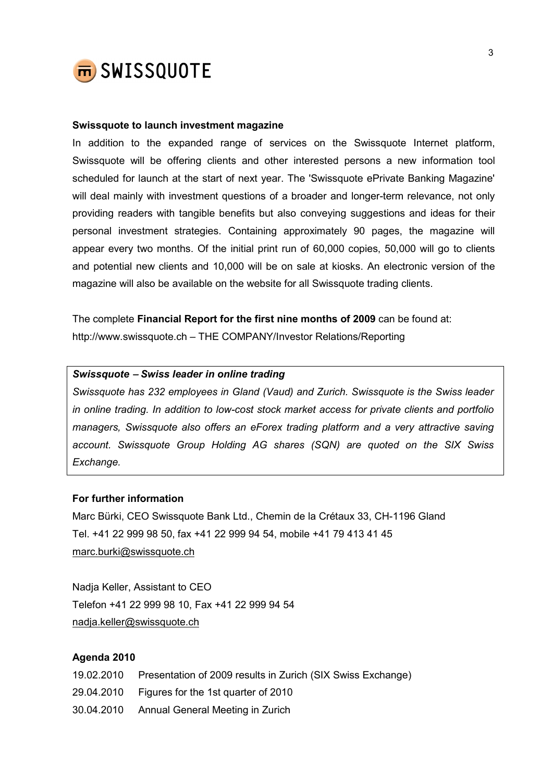

#### Swissquote to launch investment magazine

In addition to the expanded range of services on the Swissquote Internet platform, Swissquote will be offering clients and other interested persons a new information tool scheduled for launch at the start of next year. The 'Swissquote ePrivate Banking Magazine' will deal mainly with investment questions of a broader and longer-term relevance, not only providing readers with tangible benefits but also conveying suggestions and ideas for their personal investment strategies. Containing approximately 90 pages, the magazine will appear every two months. Of the initial print run of 60,000 copies, 50,000 will go to clients and potential new clients and 10,000 will be on sale at kiosks. An electronic version of the magazine will also be available on the website for all Swissquote trading clients.

The complete Financial Report for the first nine months of 2009 can be found at: http://www.swissquote.ch – THE COMPANY/Investor Relations/Reporting

## Swissquote − Swiss leader in online trading

Swissquote has 232 employees in Gland (Vaud) and Zurich. Swissquote is the Swiss leader in online trading. In addition to low-cost stock market access for private clients and portfolio managers, Swissquote also offers an eForex trading platform and a very attractive saving account. Swissquote Group Holding AG shares (SQN) are quoted on the SIX Swiss Exchange.

### For further information

Marc Bürki, CEO Swissquote Bank Ltd., Chemin de la Crétaux 33, CH-1196 Gland Tel. +41 22 999 98 50, fax +41 22 999 94 54, mobile +41 79 413 41 45 marc.burki@swissquote.ch

Nadja Keller, Assistant to CEO Telefon +41 22 999 98 10, Fax +41 22 999 94 54 nadja.keller@swissquote.ch

## Agenda 2010

19.02.2010 Presentation of 2009 results in Zurich (SIX Swiss Exchange) 29.04.2010 Figures for the 1st quarter of 2010 30.04.2010 Annual General Meeting in Zurich